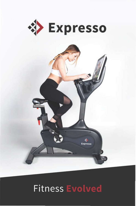

### **Fitness Evolved**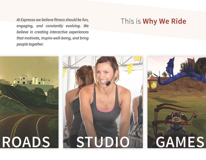*At Expresso we believe fitness should be fun, engaging, and constantly evolving. We believe in creating interactive experiences that motivate, inspire well-being, and bring people together.* 

### **This is Why We Ride**

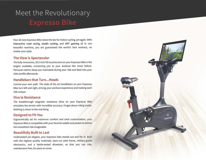# Meet the Revolutionary

Your aU-new Expresso Bike raises the bar for indoor cycling, yet again. With interactive road racing, studio cycling, and HilT gaming all in one beautiful machine, you are guaranteed the world's best workout, no matter your style.

#### The View is Spectacular

The fully-immersive, 26.5 inch HD touchscreen on your Expresso Bike is the largest available, connecting you to your workout like never before. Personal metrics keep you motivated during your ride and feed into your rider profile afterwards.

### Handlebars that Turn ... Heads

Control your own path. The state of the art handlebars on your Expresso Bike turn left and right, driving your workout experience and making each ride unique.

#### Viva Ia Resistance

The breakthrough magnetic resistance drive on your Expresso Bike simulates the terrain with incredible accuracy. Forget about riding inside. Nothing is closer to the real thing.

### Designed to Fit You

Ergonomically set for maximum comfort and total customization, your Expresso Bike is compatible with your favorite saddle and pedals to deliver the smoothest ride imaginable.

#### Beautifully Built to Last

Understated yet elegant, your Expresso bike stands out and fits in. Built with the highest quality materials; laser-cut steel frame, military-grade electronics, and a battle-tested drivetrain, so that you can ride, maintenance free, for years to come.

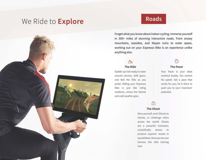### We Ride to **Explore**



### **Roads**

Forget what you know about indoor cycling. Immerse yourself in 300+ miles of stunning interactive roads. From snowy mountains, seasides, and Mayan ruins to outer space, working out on your Expresso Bike is an experience unlike anything else.

#### $\wedge$ The Ride The Pacer

Saddle up! Get ready to steer around corners, shift gears, and feel the hills as you pedal. Riding your Expresso Bike is just like riding outdoors...minus the helmet and cold weather gear.

Your Pacer is your ideal workout buddy. You control his speed. Set a pace that works for you, he is there to push you to your maximum potentiaL

### $\bigodot$

#### The Ghost

Race yourself, send Ghosts to friends, or challenge riders across the world! Ghosts are a powerful motivator, scientifically shown to produce superior results in top athletes. Now you too can harness this elite training tool.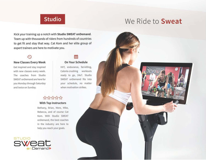### We Ride to **Sweat**

### **Studio**

Kick your training up a notch with Studio SWEAT on Demand. Team up with thousands of riders from hundreds of countries to get fit and stay that way. Cat Kom and her elite group of expert trainers are here to motivate you.

#### New Classes Every Week

Get inspired and stay inspired with new classes every week. The coaches from Studio SWEAT on Demand are here for you Monday through Saturday and twice on Sunday.



#### On Your Schedule

HilT, endurance, fat-killing, Calorie-crushing workouts ready to go, 24x7. Studio SWEAT onDemand fits into your schedule, no matter when motivation strikes.

### \*\*\*\*\*\*\*\*

#### With Top Instructors

Bethany, Brian, Mere, Mike, Rebecca, and of course Cat Kom. With Studio SWEAT on Demand, the best coaches in the industry are here to help you reach your goals.



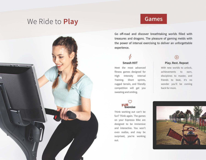### We Ride to **Play**



### **Games**

Go off-road and discover breathtaking worlds filled with treasures and dragons. The pleasure of gaming melds with the power of interval exercising to deliver an unforgettable experience.

#### Smash HilT

Meet the most advanced fitness games designed for High Intensity Interval Training. Short sprints, rugged terrain, and friendly competition will get you sweating and smiling.

### $\heartsuit$  $~^\heartsuit$ <br>Exercise

Think working out can't be fun? Think again. The games on your Expresso Bike are designed to be immersive and interactive. You won't even realize, and may be surprised, you're working out.

### $\widehat{\mathbb{C}}$

#### Play. Rest. Repeat

With new worlds to unlock. achievements to earn, disciplines to master, and friends to beat, it's no wonder you'll be coming back for more.

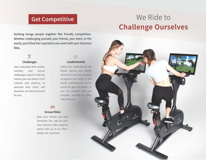### Get Competitive

Nothing brings people together like friendly competition. Whether challenging yourself, your friends, your team, or the world, you'll find the inspiration you need with your Expresso Bike.

### $\overline{\mathbf{x}}$ Challenges

Stay motivated with weekly, monthly, and annual challenges, based on the key metrics you care about. From Calories and distance, to personal best times and elevation, we have the event for you.

### Roads, Games, and Studio

riders like you.

Leaderboards

 $:=$ 

ക്ക്

### Group Rides

Race your friends and best frenemies live, side by side. Your Expresso Bike supports teams with up to 32 riders. Ready. Set. Expresso!

# We Ride to Challenge Ourselves

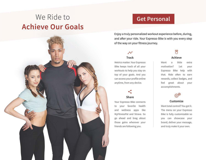# We Ride to Achieve Our Goals



### Get Personal

Enjoy a truly personalized workout experience before, during, and after your ride. Your Expresso Bike is with you every step of the way on your fitness journey.

### $\lambda'$ Track

Metrics matter. Your Expresso Bike keeps track of all your workouts to help you stay on top of your goals. And you can access your profile online anytime, from any device.

### Share

Your Expresso Bike connects to your favorite health and wellness apps like MyFitnessPal and Strava. So go ahead and brag about those gains wherever your friends are following you.

#### Achieve

Want a little extra motivation? Let your Expresso Bike help with that. Ride often to earn rewards, collect badges, and feel great about your accomplishments.



#### Customize

Want total control? You got it. The menu on your Expresso Bike is fully customizable so you can showcase your brand, deliver your message, and truly make it your own.